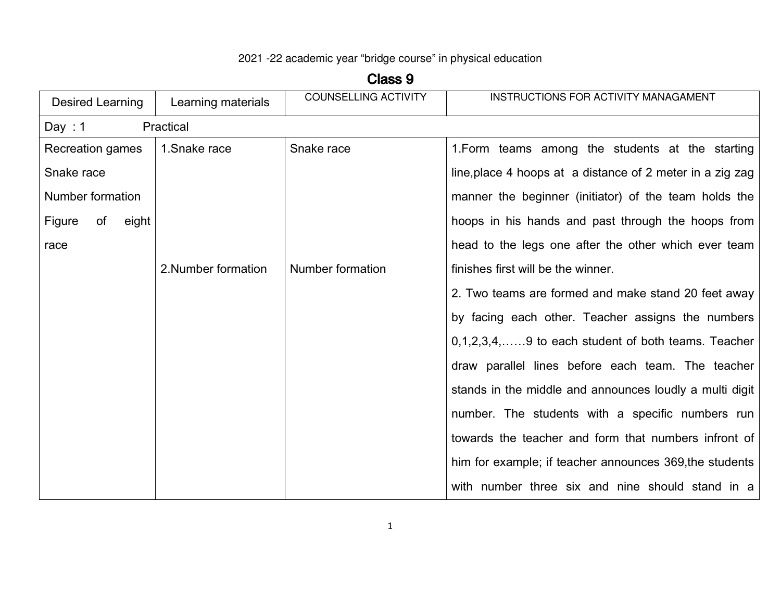## 2021 -22 academic year "bridge course" in physical education

**Class 9** 

| Desired Learning      | Learning materials  | <b>COUNSELLING ACTIVITY</b> | INSTRUCTIONS FOR ACTIVITY MANAGAMENT                      |
|-----------------------|---------------------|-----------------------------|-----------------------------------------------------------|
| Day: $1$              | Practical           |                             |                                                           |
| Recreation games      | 1. Snake race       | Snake race                  | 1. Form teams among the students at the starting          |
| Snake race            |                     |                             | line, place 4 hoops at a distance of 2 meter in a zig zag |
| Number formation      |                     |                             | manner the beginner (initiator) of the team holds the     |
| Figure<br>of<br>eight |                     |                             | hoops in his hands and past through the hoops from        |
| race                  |                     |                             | head to the legs one after the other which ever team      |
|                       | 2. Number formation | Number formation            | finishes first will be the winner.                        |
|                       |                     |                             | 2. Two teams are formed and make stand 20 feet away       |
|                       |                     |                             | by facing each other. Teacher assigns the numbers         |
|                       |                     |                             | $0,1,2,3,4,$ 9 to each student of both teams. Teacher     |
|                       |                     |                             | draw parallel lines before each team. The teacher         |
|                       |                     |                             | stands in the middle and announces loudly a multi digit   |
|                       |                     |                             | number. The students with a specific numbers run          |
|                       |                     |                             | towards the teacher and form that numbers infront of      |
|                       |                     |                             | him for example; if teacher announces 369, the students   |
|                       |                     |                             | with number three six and nine should stand in a          |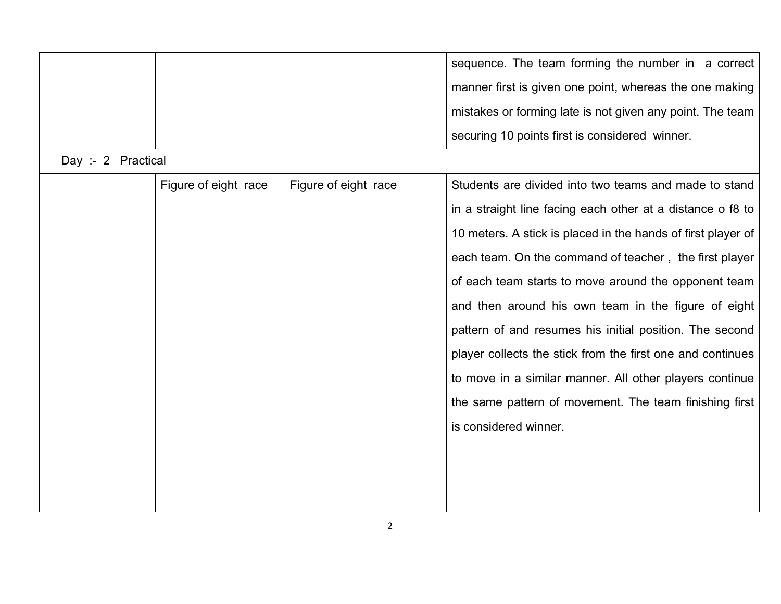| sequence. The team forming the number in a correct        |
|-----------------------------------------------------------|
| manner first is given one point, whereas the one making   |
| mistakes or forming late is not given any point. The team |
| securing 10 points first is considered winner.            |

Day :- 2 Practical

| Figure of eight race | Figure of eight race | Students are divided into two teams and made to stand        |
|----------------------|----------------------|--------------------------------------------------------------|
|                      |                      | in a straight line facing each other at a distance o f8 to   |
|                      |                      | 10 meters. A stick is placed in the hands of first player of |
|                      |                      | each team. On the command of teacher, the first player       |
|                      |                      | of each team starts to move around the opponent team         |
|                      |                      | and then around his own team in the figure of eight          |
|                      |                      | pattern of and resumes his initial position. The second      |
|                      |                      | player collects the stick from the first one and continues   |
|                      |                      | to move in a similar manner. All other players continue      |
|                      |                      | the same pattern of movement. The team finishing first       |
|                      |                      | is considered winner.                                        |
|                      |                      |                                                              |
|                      |                      |                                                              |
|                      |                      |                                                              |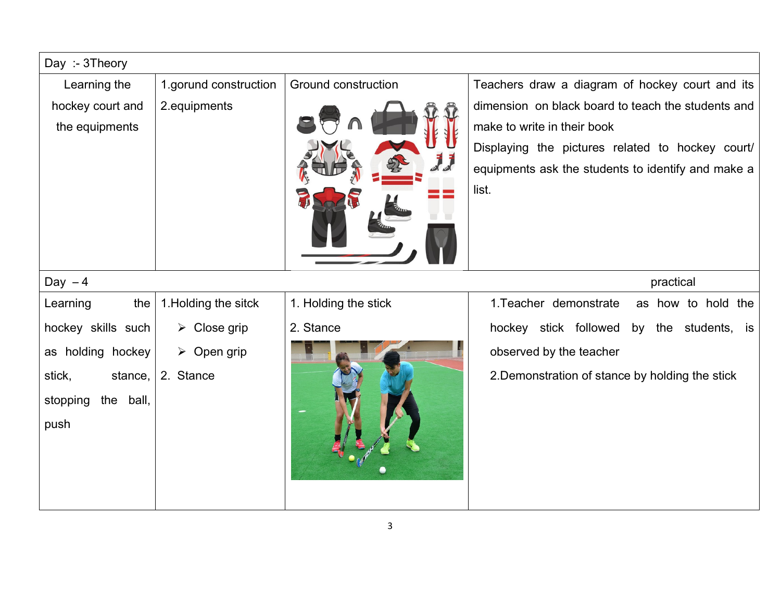| Day: - 3Theory        |                             |                      |                                                    |
|-----------------------|-----------------------------|----------------------|----------------------------------------------------|
| Learning the          | 1.gorund construction       | Ground construction  | Teachers draw a diagram of hockey court and its    |
| hockey court and      | 2.equipments                |                      | dimension on black board to teach the students and |
| the equipments        |                             |                      | make to write in their book                        |
|                       |                             |                      | Displaying the pictures related to hockey court/   |
|                       |                             |                      | equipments ask the students to identify and make a |
|                       |                             |                      | list.                                              |
|                       |                             |                      |                                                    |
|                       |                             |                      |                                                    |
|                       |                             |                      |                                                    |
| Day $-4$              |                             |                      | practical                                          |
| Learning<br>the       | 1. Holding the sitck        | 1. Holding the stick | 1. Teacher demonstrate<br>as how to hold the       |
| hockey skills such    | $\triangleright$ Close grip | 2. Stance            | hockey stick followed<br>by the students, is       |
| as holding hockey     | $\triangleright$ Open grip  |                      | observed by the teacher                            |
| stick,<br>stance,     | 2. Stance                   |                      | 2. Demonstration of stance by holding the stick    |
| stopping<br>the ball, |                             |                      |                                                    |
| push                  |                             |                      |                                                    |
|                       |                             |                      |                                                    |
|                       |                             |                      |                                                    |
|                       |                             |                      |                                                    |
|                       |                             |                      |                                                    |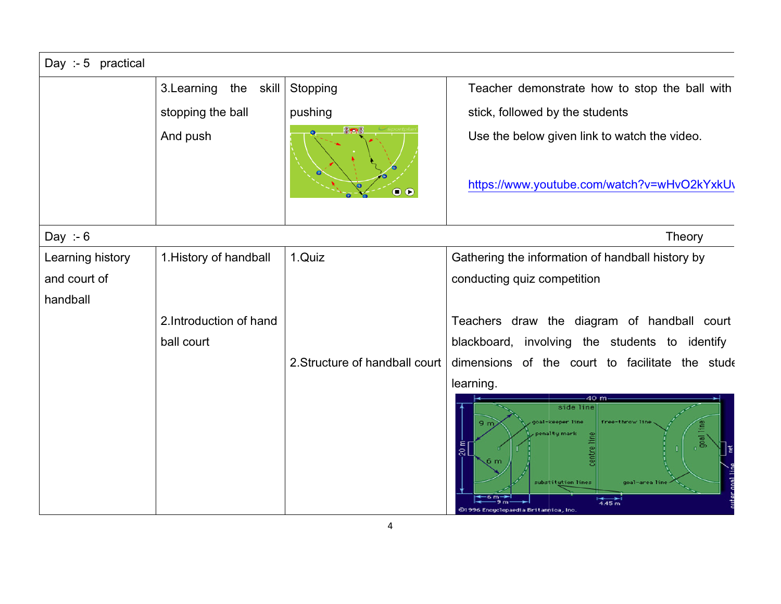| Day :- $5$ practical |                          |                                |                                                                                                                                                                                                     |  |
|----------------------|--------------------------|--------------------------------|-----------------------------------------------------------------------------------------------------------------------------------------------------------------------------------------------------|--|
|                      | 3. Learning<br>the skill | Stopping                       | Teacher demonstrate how to stop the ball with                                                                                                                                                       |  |
|                      | stopping the ball        | pushing                        | stick, followed by the students                                                                                                                                                                     |  |
|                      | And push                 | <b>SIMPLE</b>                  | Use the below given link to watch the video.                                                                                                                                                        |  |
|                      |                          | $\bullet$                      | https://www.youtube.com/watch?v=wHvO2kYxkU\                                                                                                                                                         |  |
| Day :- $6$           |                          |                                | Theory                                                                                                                                                                                              |  |
| Learning history     | 1. History of handball   | 1.Quiz                         | Gathering the information of handball history by                                                                                                                                                    |  |
| and court of         |                          |                                | conducting quiz competition                                                                                                                                                                         |  |
| handball             |                          |                                |                                                                                                                                                                                                     |  |
|                      | 2. Introduction of hand  |                                | Teachers draw the diagram of handball court                                                                                                                                                         |  |
|                      | ball court               |                                | blackboard, involving the students to identify                                                                                                                                                      |  |
|                      |                          | 2. Structure of handball court | dimensions of the court to facilitate the stude                                                                                                                                                     |  |
|                      |                          |                                | learning.                                                                                                                                                                                           |  |
|                      |                          |                                | 40 m<br>side line<br>al-keeper line<br>free-throw line<br>9 <sub>m</sub><br>enaltų mark<br>$\frac{20}{20}$<br>substitution lines<br>goal-area line<br>4.45 m<br>01996 Encuelopaedia Britannica, Inc |  |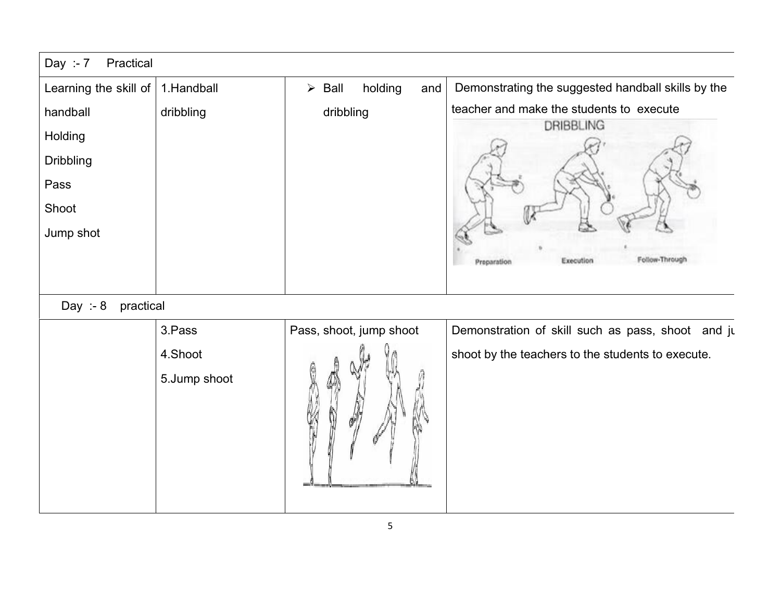| Day :- $7$<br>Practical |              |                                         |                                                    |
|-------------------------|--------------|-----------------------------------------|----------------------------------------------------|
| Learning the skill of   | 1.Handball   | holding<br>$\triangleright$ Ball<br>and | Demonstrating the suggested handball skills by the |
| handball                | dribbling    | dribbling                               | teacher and make the students to execute           |
| Holding                 |              |                                         | DRIBBLING                                          |
| <b>Dribbling</b>        |              |                                         |                                                    |
| Pass                    |              |                                         |                                                    |
| Shoot                   |              |                                         |                                                    |
| Jump shot               |              |                                         |                                                    |
|                         |              |                                         | Follow-Throug<br>Execution<br>Preparation          |
|                         |              |                                         |                                                    |
| Day :- $8$<br>practical |              |                                         |                                                    |
|                         | 3.Pass       | Pass, shoot, jump shoot                 | Demonstration of skill such as pass, shoot and ju  |
|                         | 4.Shoot      |                                         | shoot by the teachers to the students to execute.  |
|                         | 5.Jump shoot |                                         |                                                    |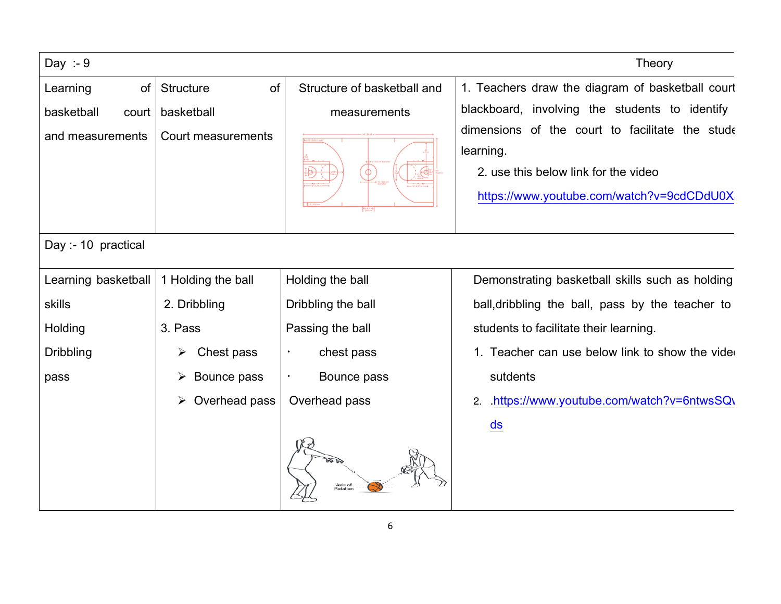| Day :- $9$          |                        |                             | <b>Theory</b>                                                                                                                                     |
|---------------------|------------------------|-----------------------------|---------------------------------------------------------------------------------------------------------------------------------------------------|
| of<br>Learning      | of<br><b>Structure</b> | Structure of basketball and | 1. Teachers draw the diagram of basketball court                                                                                                  |
| basketball<br>court | basketball             | measurements                | blackboard, involving the students to identify                                                                                                    |
| and measurements    | Court measurements     | <b>SERVICE</b>              | dimensions of the court to facilitate the stude<br>learning.<br>2. use this below link for the video<br>https://www.youtube.com/watch?v=9cdCDdU0X |
| Day :- 10 practical |                        |                             |                                                                                                                                                   |
| Learning basketball | 1 Holding the ball     | Holding the ball            | Demonstrating basketball skills such as holding                                                                                                   |
| skills              | 2. Dribbling           | Dribbling the ball          | ball, dribbling the ball, pass by the teacher to                                                                                                  |
| Holding             | 3. Pass                | Passing the ball            | students to facilitate their learning.                                                                                                            |
| <b>Dribbling</b>    | Chest pass<br>➤        | chest pass                  | 1. Teacher can use below link to show the vide                                                                                                    |
| pass                | Bounce pass            | Bounce pass                 | sutdents                                                                                                                                          |
|                     | Overhead pass<br>➤     | Overhead pass               | .https://www.youtube.com/watch?v=6ntwsSQ\<br>2.<br>$\frac{ds}{ds}$                                                                                |
|                     |                        | Axis of<br>Rotation         |                                                                                                                                                   |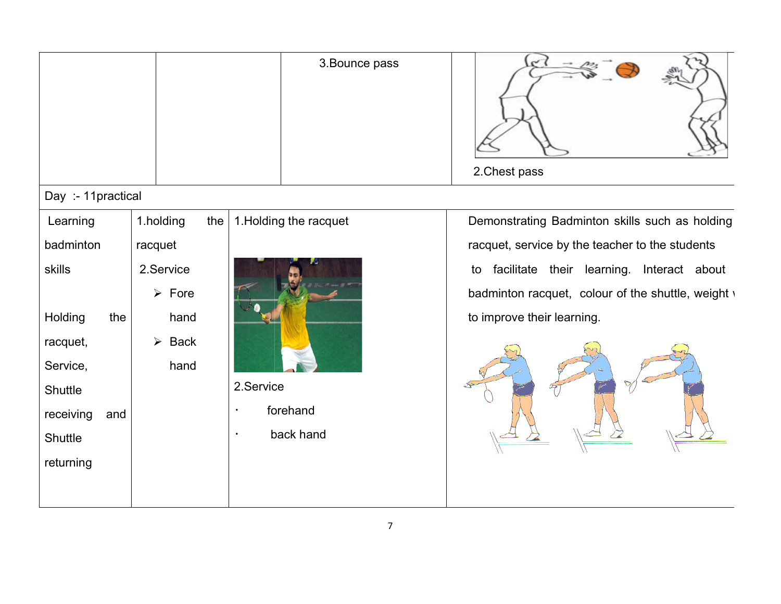|                    |                               | 3. Bounce pass         | 2. Chest pass                                      |
|--------------------|-------------------------------|------------------------|----------------------------------------------------|
| Day :- 11practical |                               |                        |                                                    |
| Learning           | 1.holding<br>the              | 1. Holding the racquet | Demonstrating Badminton skills such as holding     |
| badminton          | racquet                       |                        | racquet, service by the teacher to the students    |
| skills             | 2.Service                     |                        | facilitate their learning. Interact about<br>to    |
|                    | $\triangleright$ Fore         |                        | badminton racquet, colour of the shuttle, weight v |
| Holding<br>the     | hand                          |                        | to improve their learning.                         |
| racquet,           | Back<br>$\blacktriangleright$ |                        |                                                    |
| Service,           | hand                          |                        |                                                    |
| Shuttle            |                               | 2.Service              |                                                    |
| receiving<br>and   |                               | forehand<br>$\bullet$  |                                                    |
| Shuttle            |                               | back hand<br>$\bullet$ |                                                    |
| returning          |                               |                        |                                                    |
|                    |                               |                        |                                                    |
|                    |                               |                        |                                                    |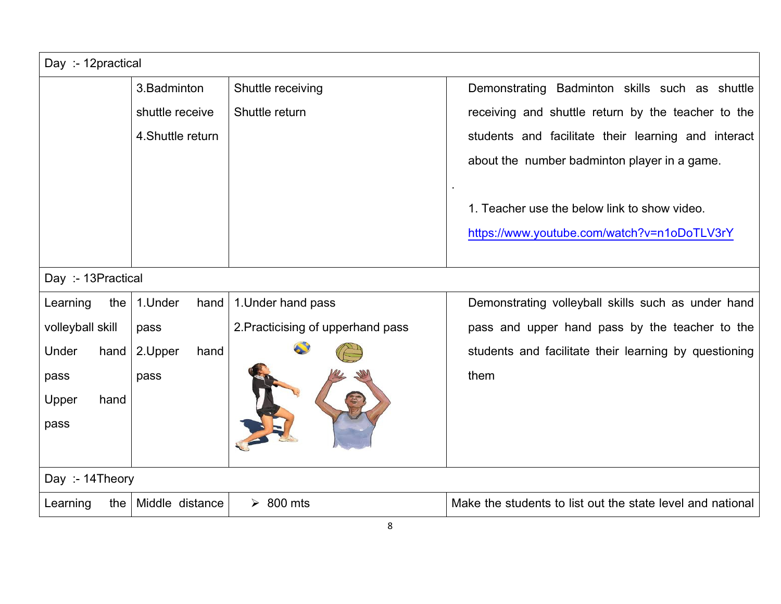| Day :- 12practical |                       |                                   |                                                                                             |  |  |
|--------------------|-----------------------|-----------------------------------|---------------------------------------------------------------------------------------------|--|--|
|                    | 3. Badminton          | Shuttle receiving                 | Demonstrating Badminton skills such as shuttle                                              |  |  |
|                    | shuttle receive       | Shuttle return                    | receiving and shuttle return by the teacher to the                                          |  |  |
|                    | 4. Shuttle return     |                                   | students and facilitate their learning and interact                                         |  |  |
|                    |                       |                                   | about the number badminton player in a game.                                                |  |  |
|                    |                       |                                   | 1. Teacher use the below link to show video.<br>https://www.youtube.com/watch?v=n1oDoTLV3rY |  |  |
| Day :- 13Practical |                       |                                   |                                                                                             |  |  |
| Learning<br>the    | 1.Under<br>hand       | 1. Under hand pass                | Demonstrating volleyball skills such as under hand                                          |  |  |
| volleyball skill   | pass                  | 2. Practicising of upperhand pass | pass and upper hand pass by the teacher to the                                              |  |  |
| Under<br>hand      | 2.Upper<br>hand       |                                   | students and facilitate their learning by questioning                                       |  |  |
| pass               | pass                  |                                   | them                                                                                        |  |  |
| Upper<br>hand      |                       |                                   |                                                                                             |  |  |
| pass               |                       |                                   |                                                                                             |  |  |
|                    |                       |                                   |                                                                                             |  |  |
|                    | Day: - 14Theory       |                                   |                                                                                             |  |  |
| Learning           | the   Middle distance | $\geq 800$ mts                    | Make the students to list out the state level and national                                  |  |  |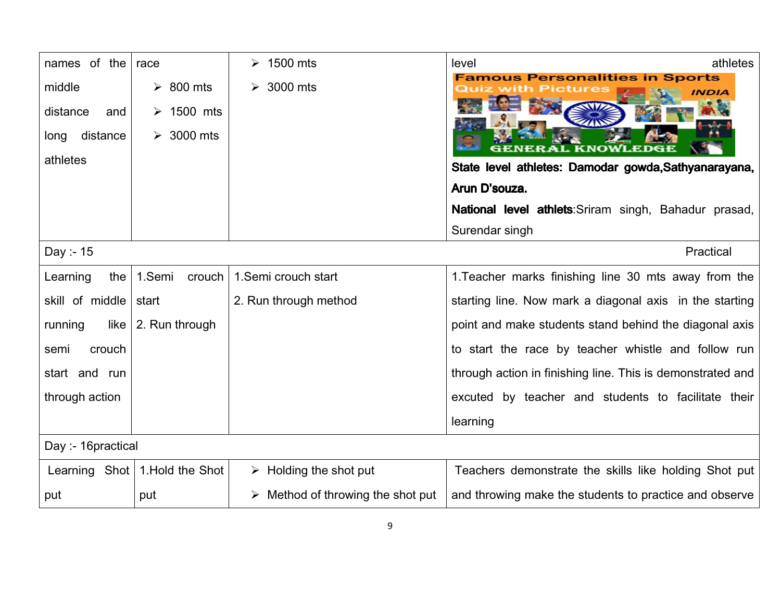| names of the              | race                            | $\geq 1500$ mts                                  | athletes<br>level                                            |  |
|---------------------------|---------------------------------|--------------------------------------------------|--------------------------------------------------------------|--|
| middle<br>distance<br>and | $\geq 800$ mts<br>1500 mts<br>➤ | 3000 mts                                         | ous Personalities in Sports                                  |  |
| distance<br>long          | 3000 mts<br>➤                   |                                                  |                                                              |  |
| athletes                  |                                 |                                                  | State level athletes: Damodar gowda, Sathyanarayana,         |  |
|                           |                                 |                                                  | Arun D'souza.                                                |  |
|                           |                                 |                                                  | <b>National level athlets:</b> Sriram singh, Bahadur prasad, |  |
|                           |                                 |                                                  | Surendar singh                                               |  |
| Day :- 15                 |                                 |                                                  | Practical                                                    |  |
| Learning<br>the           | 1.Semi<br>crouch                | 1.Semi crouch start                              | 1. Teacher marks finishing line 30 mts away from the         |  |
| skill of middle           | start                           | 2. Run through method                            | starting line. Now mark a diagonal axis in the starting      |  |
| like<br>running           | 2. Run through                  |                                                  | point and make students stand behind the diagonal axis       |  |
| crouch<br>semi            |                                 |                                                  | to start the race by teacher whistle and follow run          |  |
| start and run             |                                 |                                                  | through action in finishing line. This is demonstrated and   |  |
| through action            |                                 |                                                  | excuted by teacher and students to facilitate their          |  |
|                           |                                 |                                                  | learning                                                     |  |
|                           | Day :- 16practical              |                                                  |                                                              |  |
| Learning Shot             | 1. Hold the Shot                | $\triangleright$ Holding the shot put            | Teachers demonstrate the skills like holding Shot put        |  |
| put                       | put                             | $\triangleright$ Method of throwing the shot put | and throwing make the students to practice and observe       |  |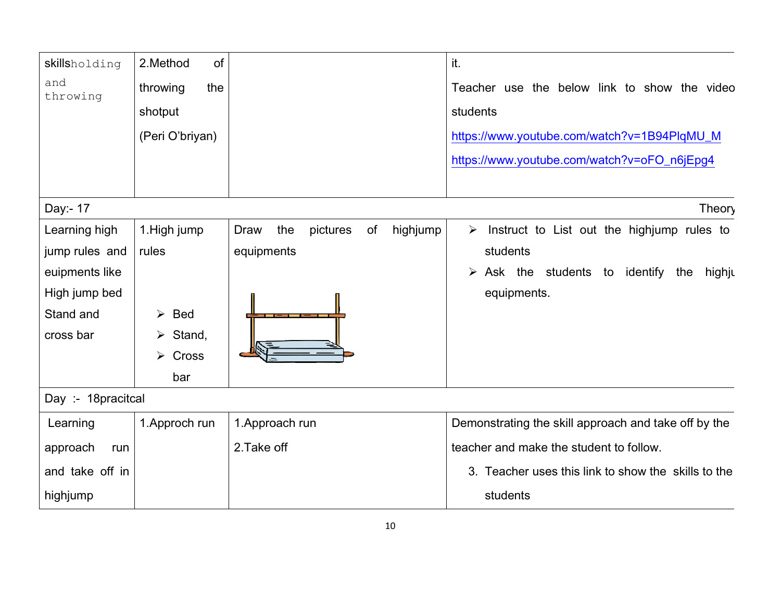| skillsholding      | of<br>2.Method                      |                                                  | it.                                                                 |
|--------------------|-------------------------------------|--------------------------------------------------|---------------------------------------------------------------------|
| and<br>throwing    | throwing<br>the                     |                                                  | Teacher use the below link to show the video                        |
|                    | shotput                             |                                                  | students                                                            |
|                    | (Peri O'briyan)                     |                                                  | https://www.youtube.com/watch?v=1B94PlqMU_M                         |
|                    |                                     |                                                  | https://www.youtube.com/watch?v=oFO_n6jEpg4                         |
|                    |                                     |                                                  |                                                                     |
| Day:- 17           |                                     |                                                  | Theory                                                              |
| Learning high      | 1. High jump                        | highjump<br>the<br><b>Draw</b><br>pictures<br>of | Instruct to List out the highjump rules to<br>$\blacktriangleright$ |
| jump rules and     | rules                               | equipments                                       | students                                                            |
| euipments like     |                                     |                                                  | Ask the students to identify the<br>$\blacktriangleright$<br>highju |
| High jump bed      |                                     |                                                  | equipments.                                                         |
| Stand and          | <b>Bed</b><br>$\blacktriangleright$ |                                                  |                                                                     |
| cross bar          | $\triangleright$ Stand,             |                                                  |                                                                     |
|                    | Cross<br>➤                          |                                                  |                                                                     |
|                    | bar                                 |                                                  |                                                                     |
| Day :- 18pracitcal |                                     |                                                  |                                                                     |
| Learning           | 1. Approch run                      | 1. Approach run                                  | Demonstrating the skill approach and take off by the                |
| approach<br>run    |                                     | 2. Take off                                      | teacher and make the student to follow.                             |
| and take off in    |                                     |                                                  | 3. Teacher uses this link to show the skills to the                 |
| highjump           |                                     |                                                  | students                                                            |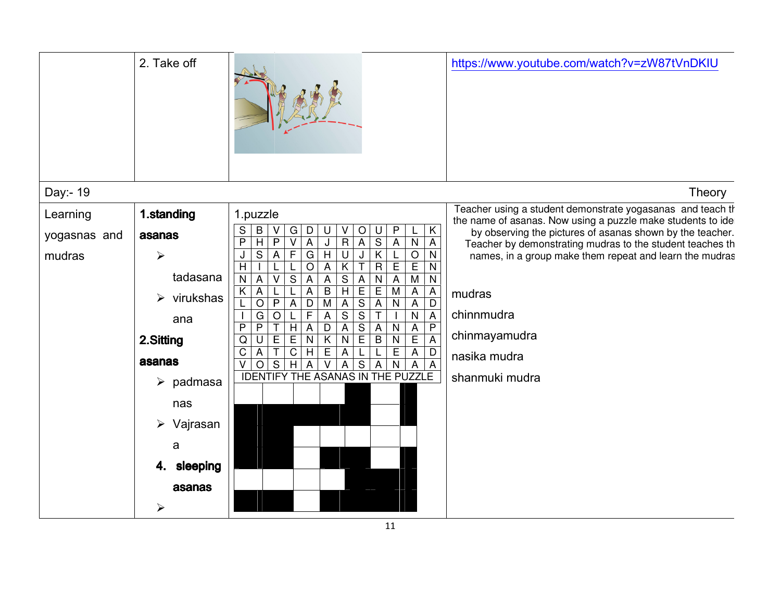| 2. Take off                                                                                                                                                                                                                       |                                                                                                                                                                                                                                                                                                                                                                                                                                                                                                                                                                                                                                                                                                                                                                                                                                                                                                                                                                                                                                                                                                                                                                                                                                                                                                                                                                                                                                                                                                                                                                                                                                                                                                                                                                                                                                                                                                                                                                                                                                                                                                                                 | https://www.youtube.com/watch?v=zW87tVnDKIU                                                                                                                                                                                                                                                                                                                                               |
|-----------------------------------------------------------------------------------------------------------------------------------------------------------------------------------------------------------------------------------|---------------------------------------------------------------------------------------------------------------------------------------------------------------------------------------------------------------------------------------------------------------------------------------------------------------------------------------------------------------------------------------------------------------------------------------------------------------------------------------------------------------------------------------------------------------------------------------------------------------------------------------------------------------------------------------------------------------------------------------------------------------------------------------------------------------------------------------------------------------------------------------------------------------------------------------------------------------------------------------------------------------------------------------------------------------------------------------------------------------------------------------------------------------------------------------------------------------------------------------------------------------------------------------------------------------------------------------------------------------------------------------------------------------------------------------------------------------------------------------------------------------------------------------------------------------------------------------------------------------------------------------------------------------------------------------------------------------------------------------------------------------------------------------------------------------------------------------------------------------------------------------------------------------------------------------------------------------------------------------------------------------------------------------------------------------------------------------------------------------------------------|-------------------------------------------------------------------------------------------------------------------------------------------------------------------------------------------------------------------------------------------------------------------------------------------------------------------------------------------------------------------------------------------|
| Day:- 19                                                                                                                                                                                                                          |                                                                                                                                                                                                                                                                                                                                                                                                                                                                                                                                                                                                                                                                                                                                                                                                                                                                                                                                                                                                                                                                                                                                                                                                                                                                                                                                                                                                                                                                                                                                                                                                                                                                                                                                                                                                                                                                                                                                                                                                                                                                                                                                 | Theory                                                                                                                                                                                                                                                                                                                                                                                    |
| 1.standing<br>Learning<br>yogasnas and<br>asanas<br>mudras<br>➤<br>tadasana<br>$\triangleright$ virukshas<br>ana<br>2.Sitting<br>asanas<br>$\triangleright$ padmasa<br>nas<br>Vajrasan<br>➤<br>a<br>sleeping<br>4.<br>asanas<br>➤ | 1.puzzle<br>$\sf B$<br>${\bf G}$<br>$\mathsf P$<br>$\sf K$<br>S<br>$\mathsf D$<br>V<br>O<br>U<br>U<br>$\overline{\mathsf{s}}$<br>$\overline{P}$<br>$\overline{H}$<br>$\overline{R}$<br>$\overline{A}$<br>$\overline{P}$<br>$\overline{V}$<br>$\overline{A}$<br>$\overline{\mathsf{J}}$<br>$\overline{A}$<br>$\overline{\mathsf{N}}$<br>$\overline{A}$<br>$\overline{\mathsf{K}}$<br>$G$ H<br>$\overline{s}$<br>$\overline{F}$<br>$\overline{O}$<br>$\overline{N}$<br>$\boldsymbol{\mathsf{A}}$<br>$\sf U$<br>$\sf J$<br>$\overline{R}$<br>E<br>E<br>$\overline{H}$<br>$\overline{O}$<br>$\overline{\mathsf{K}}$<br>$\overline{\mathsf{T}}$<br>$\mathsf{A}$<br>$\overline{N}$<br>$\overline{N}$<br>$\overline{\mathbf{S}}$<br>$\overline{A}$<br>$\overline{\mathsf{V}}$<br>$\overline{N}$<br>$\boldsymbol{\mathsf{A}}$<br>$\overline{S}$<br>$\overline{A}$<br>$\overline{A}$<br>$\overline{M}$<br>$\overline{N}$<br>$\boldsymbol{\mathsf{A}}$<br>$\overline{E}$<br>$\overline{B}$<br>$\overline{H}$<br>E<br>$\overline{\mathsf{x}}$<br>$\mathsf{A}$<br>${\sf A}$<br>$\overline{M}$<br>$\overline{A}$<br>$\boldsymbol{\mathsf{A}}$<br>$\overline{O}$<br>$\overline{A}$<br>$rac{S}{S}$<br>$\mathsf{P}$<br>$\overline{A}$<br>$\overline{M}$<br>$\overline{A}$<br>$\overline{N}$<br>D<br>A<br>$\mathsf D$<br>$\overline{\mathsf{F}}$<br>$\overline{\mathsf{s}}$<br>$\overline{A}$<br>G<br>N<br>$\overline{A}$<br>$\circ$<br>L<br>$rac{S}{E}$<br>$\overline{P}$<br>$\overline{\mathsf{T}}$<br>$\overline{H}$<br>$\overline{P}$<br>$\mathsf{P}$<br>$\overline{D}$<br>$\boldsymbol{\mathsf{A}}$<br>$\mathsf{A}$<br>${\sf A}$<br>N<br>A<br>$\overline{E}$<br>$\overline{E}$<br>$\overline{\mathsf{E}}$<br>$\overline{B}$<br>K<br>N<br>N<br>$\overline{N}$<br>$\overline{A}$<br>$\mathsf Q$<br>$\overline{U}$<br>$\overline{\mathsf{T}}$<br>$\overline{C}$<br>$\overline{E}$<br>$\overline{E}$<br>$\mathsf C$<br>H<br>A<br>D<br>A<br>A<br>$\overline{s}$<br>$\overline{H}$<br>$\overline{S}$<br>$\vee$<br>$\overline{O}$<br>$\vee$<br>$\overline{N}$<br>$\overline{A}$<br>A<br>A<br>A<br>A<br>THE ASANAS IN THE PUZZLE<br><b>IDENTIFY</b> | Teacher using a student demonstrate yogasanas and teach th<br>the name of asanas. Now using a puzzle make students to ide<br>by observing the pictures of asanas shown by the teacher.<br>Teacher by demonstrating mudras to the student teaches th<br>names, in a group make them repeat and learn the mudras<br>mudras<br>chinnmudra<br>chinmayamudra<br>nasika mudra<br>shanmuki mudra |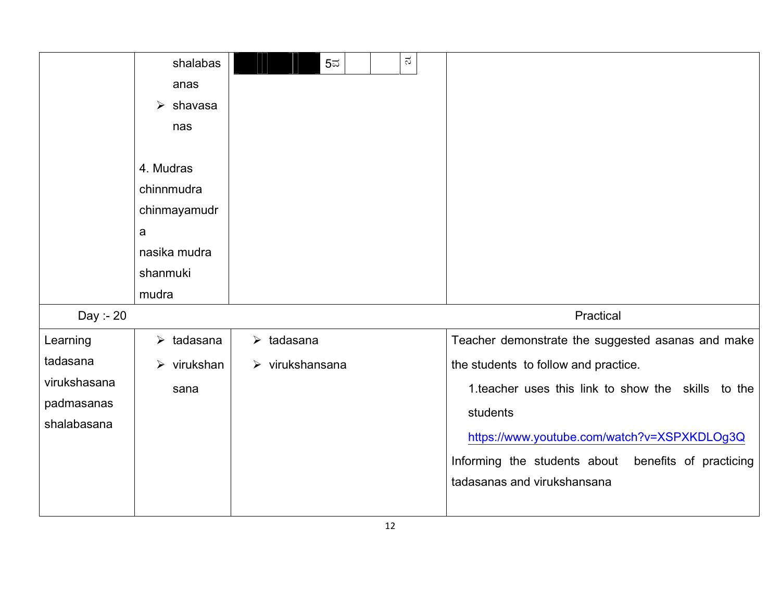|              | shalabas                   | $5\overline{5}$                | $\approx$ |                                                        |
|--------------|----------------------------|--------------------------------|-----------|--------------------------------------------------------|
|              | anas                       |                                |           |                                                        |
|              | $\triangleright$ shavasa   |                                |           |                                                        |
|              | nas                        |                                |           |                                                        |
|              |                            |                                |           |                                                        |
|              | 4. Mudras                  |                                |           |                                                        |
|              | chinnmudra                 |                                |           |                                                        |
|              | chinmayamudr               |                                |           |                                                        |
|              | a                          |                                |           |                                                        |
|              | nasika mudra               |                                |           |                                                        |
|              | shanmuki                   |                                |           |                                                        |
|              | mudra                      |                                |           |                                                        |
| Day :- 20    |                            |                                |           | Practical                                              |
| Learning     | $\triangleright$ tadasana  | $\triangleright$ tadasana      |           | Teacher demonstrate the suggested asanas and make      |
| tadasana     | $\triangleright$ virukshan | $\triangleright$ virukshansana |           | the students to follow and practice.                   |
| virukshasana | sana                       |                                |           | 1. teacher uses this link to show the skills to the    |
| padmasanas   |                            |                                |           | students                                               |
| shalabasana  |                            |                                |           |                                                        |
|              |                            |                                |           | https://www.youtube.com/watch?v=XSPXKDLOg3Q            |
|              |                            |                                |           | benefits of practicing<br>Informing the students about |
|              |                            |                                |           | tadasanas and virukshansana                            |
|              |                            |                                |           |                                                        |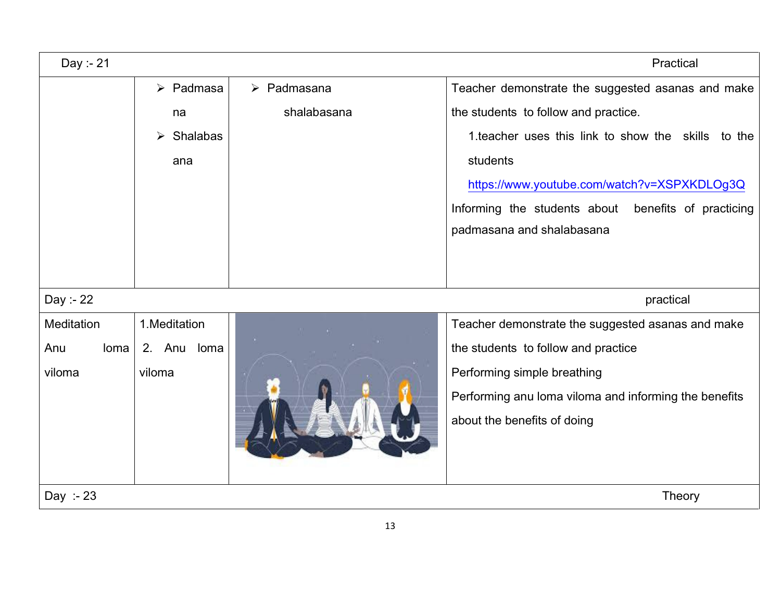| Day :- 21        |                          |                                                       | Practical                                           |
|------------------|--------------------------|-------------------------------------------------------|-----------------------------------------------------|
|                  | $\triangleright$ Padmasa | $\triangleright$ Padmasana                            | Teacher demonstrate the suggested asanas and make   |
|                  | na                       | shalabasana                                           | the students to follow and practice.                |
|                  | Shalabas<br>➤            |                                                       | 1. teacher uses this link to show the skills to the |
|                  | ana                      |                                                       | students                                            |
|                  |                          |                                                       | https://www.youtube.com/watch?v=XSPXKDLOg3Q         |
|                  |                          |                                                       | Informing the students about benefits of practicing |
|                  |                          |                                                       | padmasana and shalabasana                           |
|                  |                          |                                                       |                                                     |
|                  |                          |                                                       |                                                     |
| Day :- 22        |                          |                                                       | practical                                           |
| Meditation       | 1.Meditation             |                                                       | Teacher demonstrate the suggested asanas and make   |
| Anu<br>loma      | 2. Anu<br>loma           |                                                       | the students to follow and practice                 |
| viloma<br>viloma |                          | Performing simple breathing                           |                                                     |
|                  |                          | Performing anu loma viloma and informing the benefits |                                                     |
|                  |                          |                                                       | about the benefits of doing                         |
|                  |                          |                                                       |                                                     |
|                  |                          |                                                       |                                                     |
| Day :- $23$      |                          |                                                       | <b>Theory</b>                                       |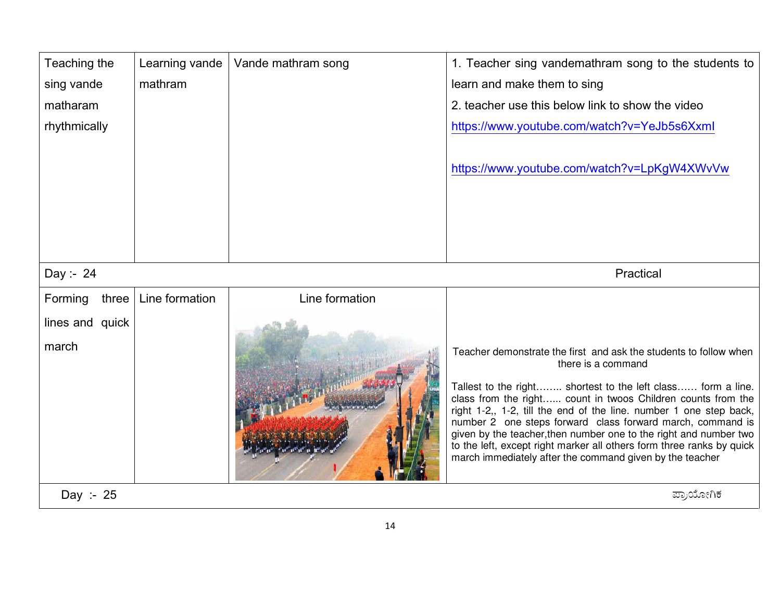| Teaching the             | Learning vande | Vande mathram song | 1. Teacher sing vandemathram song to the students to                                                                                                                                                                                                                                                                                                                                                                                                                                                                                                                  |
|--------------------------|----------------|--------------------|-----------------------------------------------------------------------------------------------------------------------------------------------------------------------------------------------------------------------------------------------------------------------------------------------------------------------------------------------------------------------------------------------------------------------------------------------------------------------------------------------------------------------------------------------------------------------|
| sing vande               | mathram        |                    | learn and make them to sing                                                                                                                                                                                                                                                                                                                                                                                                                                                                                                                                           |
| matharam                 |                |                    | 2. teacher use this below link to show the video                                                                                                                                                                                                                                                                                                                                                                                                                                                                                                                      |
| rhythmically             |                |                    | https://www.youtube.com/watch?v=YeJb5s6Xxml                                                                                                                                                                                                                                                                                                                                                                                                                                                                                                                           |
|                          |                |                    | https://www.youtube.com/watch?v=LpKgW4XWvVw                                                                                                                                                                                                                                                                                                                                                                                                                                                                                                                           |
|                          |                |                    |                                                                                                                                                                                                                                                                                                                                                                                                                                                                                                                                                                       |
| Day :- 24                |                |                    | Practical                                                                                                                                                                                                                                                                                                                                                                                                                                                                                                                                                             |
| Forming<br>three         | Line formation | Line formation     |                                                                                                                                                                                                                                                                                                                                                                                                                                                                                                                                                                       |
| lines and quick<br>march |                |                    | Teacher demonstrate the first and ask the students to follow when<br>there is a command<br>Tallest to the right shortest to the left class form a line.<br>class from the right count in twoos Children counts from the<br>right 1-2,, 1-2, till the end of the line. number 1 one step back,<br>number 2 one steps forward class forward march, command is<br>given by the teacher, then number one to the right and number two<br>to the left, except right marker all others form three ranks by quick<br>march immediately after the command given by the teacher |
| Day :- $25$              |                |                    | ಪ್ರಾಯೋಗಿಕ                                                                                                                                                                                                                                                                                                                                                                                                                                                                                                                                                             |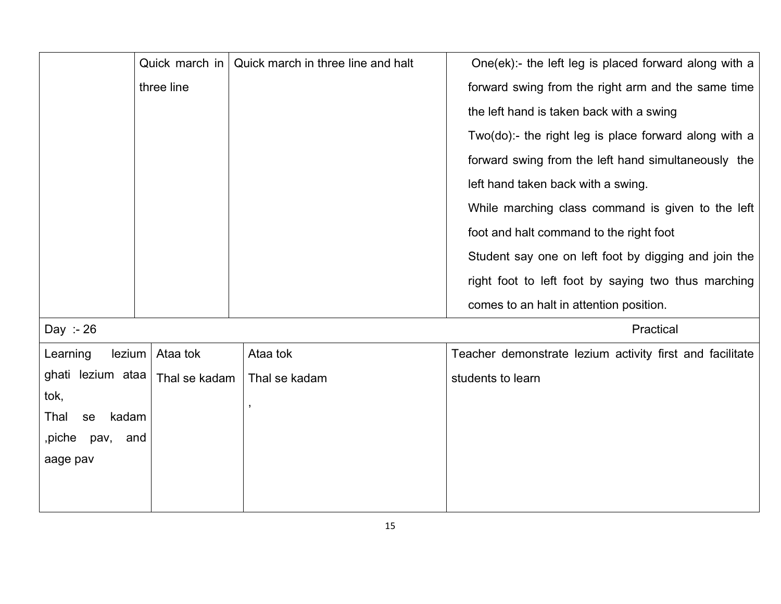|                     | Quick march in | Quick march in three line and halt | One(ek):- the left leg is placed forward along with a    |
|---------------------|----------------|------------------------------------|----------------------------------------------------------|
|                     | three line     |                                    | forward swing from the right arm and the same time       |
|                     |                |                                    | the left hand is taken back with a swing                 |
|                     |                |                                    | Two(do):- the right leg is place forward along with a    |
|                     |                |                                    | forward swing from the left hand simultaneously the      |
|                     |                |                                    | left hand taken back with a swing.                       |
|                     |                |                                    | While marching class command is given to the left        |
|                     |                |                                    | foot and halt command to the right foot                  |
|                     |                |                                    | Student say one on left foot by digging and join the     |
|                     |                |                                    | right foot to left foot by saying two thus marching      |
|                     |                |                                    | comes to an halt in attention position.                  |
| Day :- 26           |                |                                    | Practical                                                |
| lexium<br>Learning  | Ataa tok       | Ataa tok                           | Teacher demonstrate lezium activity first and facilitate |
| ghati lezium ataa   | Thal se kadam  | Thal se kadam                      | students to learn                                        |
| tok,                |                |                                    |                                                          |
| kadam<br>Thal<br>se |                |                                    |                                                          |
| ,piche<br>pav, and  |                |                                    |                                                          |
| aage pav            |                |                                    |                                                          |
|                     |                |                                    |                                                          |
|                     |                |                                    |                                                          |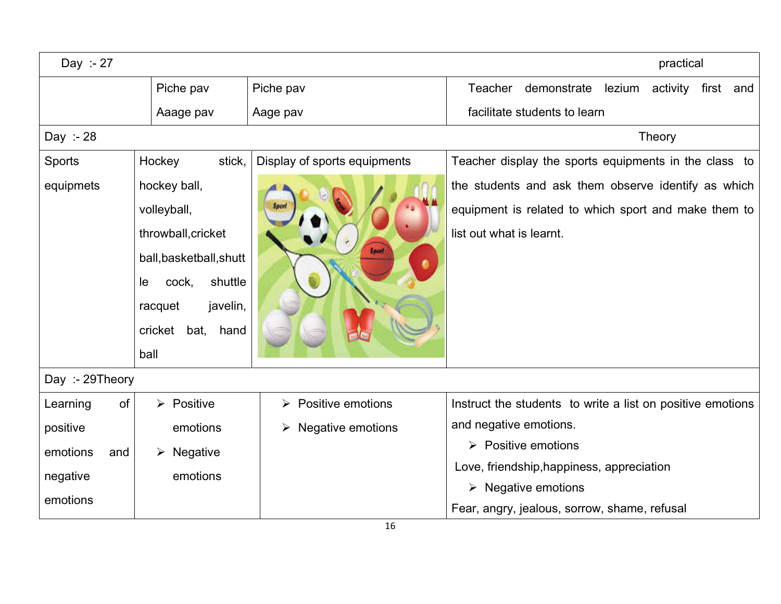| Day :- 27       |                           |                                                   | practical                                                    |
|-----------------|---------------------------|---------------------------------------------------|--------------------------------------------------------------|
|                 | Piche pav                 | Piche pav                                         | Teacher<br>demonstrate<br>activity<br>first<br>lezium<br>and |
|                 | Aaage pav                 | Aage pav                                          | facilitate students to learn                                 |
| Day :- 28       |                           |                                                   | Theory                                                       |
| Sports          | Hockey<br>stick,          | Display of sports equipments                      | Teacher display the sports equipments in the class to        |
| equipmets       | hockey ball,              |                                                   | the students and ask them observe identify as which          |
|                 | volleyball,               |                                                   | equipment is related to which sport and make them to         |
|                 | throwball, cricket        |                                                   | list out what is learnt.                                     |
|                 | ball, basketball, shutt   | Sport                                             |                                                              |
|                 | shuttle<br>cock,<br>le.   |                                                   |                                                              |
|                 | javelin,<br>racquet       |                                                   |                                                              |
|                 | cricket<br>bat,<br>hand   |                                                   |                                                              |
|                 | ball                      |                                                   |                                                              |
| Day :- 29Theory |                           |                                                   |                                                              |
| of<br>Learning  | $\triangleright$ Positive | <b>Positive emotions</b><br>$\blacktriangleright$ | Instruct the students to write a list on positive emotions   |
| positive        | emotions                  | Negative emotions<br>≻                            | and negative emotions.                                       |
| emotions<br>and | Negative<br>➤             |                                                   | $\triangleright$ Positive emotions                           |
| negative        | emotions                  |                                                   | Love, friendship, happiness, appreciation                    |
| emotions        |                           |                                                   | $\triangleright$ Negative emotions                           |
|                 |                           |                                                   | Fear, angry, jealous, sorrow, shame, refusal                 |